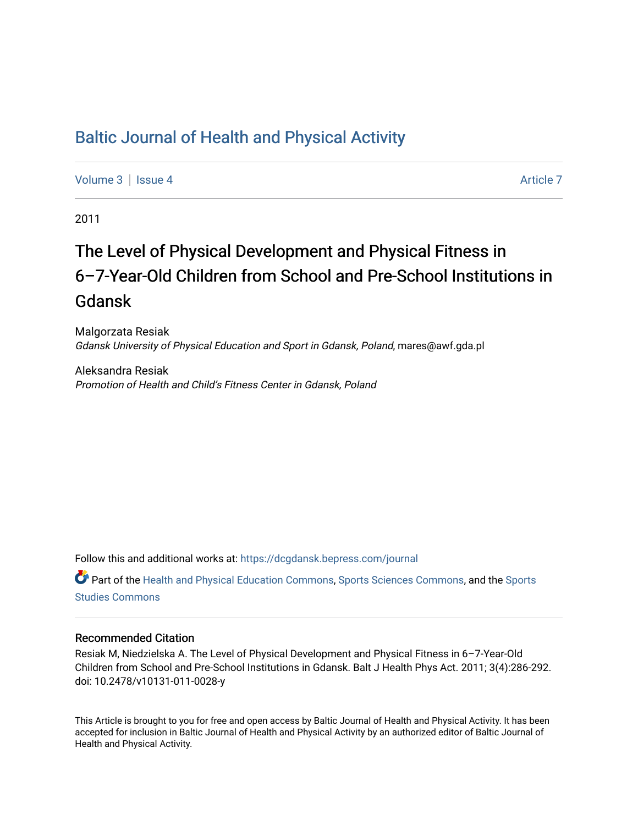# [Baltic Journal of Health and Physical Activity](https://dcgdansk.bepress.com/journal)

[Volume 3](https://dcgdansk.bepress.com/journal/vol3) | [Issue 4](https://dcgdansk.bepress.com/journal/vol3/iss4) Article 7

2011

# The Level of Physical Development and Physical Fitness in 6–7-Year-Old Children from School and Pre-School Institutions in Gdansk

Malgorzata Resiak Gdansk University of Physical Education and Sport in Gdansk, Poland, mares@awf.gda.pl

Aleksandra Resiak Promotion of Health and Child's Fitness Center in Gdansk, Poland

Follow this and additional works at: [https://dcgdansk.bepress.com/journal](https://dcgdansk.bepress.com/journal?utm_source=dcgdansk.bepress.com%2Fjournal%2Fvol3%2Fiss4%2F7&utm_medium=PDF&utm_campaign=PDFCoverPages)

Part of the [Health and Physical Education Commons](http://network.bepress.com/hgg/discipline/1327?utm_source=dcgdansk.bepress.com%2Fjournal%2Fvol3%2Fiss4%2F7&utm_medium=PDF&utm_campaign=PDFCoverPages), [Sports Sciences Commons](http://network.bepress.com/hgg/discipline/759?utm_source=dcgdansk.bepress.com%2Fjournal%2Fvol3%2Fiss4%2F7&utm_medium=PDF&utm_campaign=PDFCoverPages), and the [Sports](http://network.bepress.com/hgg/discipline/1198?utm_source=dcgdansk.bepress.com%2Fjournal%2Fvol3%2Fiss4%2F7&utm_medium=PDF&utm_campaign=PDFCoverPages)  [Studies Commons](http://network.bepress.com/hgg/discipline/1198?utm_source=dcgdansk.bepress.com%2Fjournal%2Fvol3%2Fiss4%2F7&utm_medium=PDF&utm_campaign=PDFCoverPages) 

#### Recommended Citation

Resiak M, Niedzielska A. The Level of Physical Development and Physical Fitness in 6–7-Year-Old Children from School and Pre-School Institutions in Gdansk. Balt J Health Phys Act. 2011; 3(4):286-292. doi: 10.2478/v10131-011-0028-y

This Article is brought to you for free and open access by Baltic Journal of Health and Physical Activity. It has been accepted for inclusion in Baltic Journal of Health and Physical Activity by an authorized editor of Baltic Journal of Health and Physical Activity.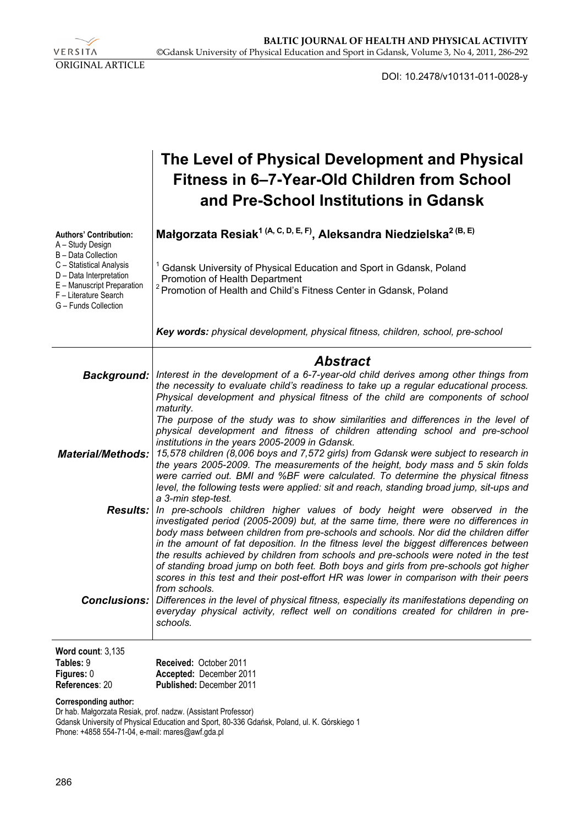VERSITA ORIGINAL ARTICLE

DOI: 10.2478/v10131-011-0028-y

|                                                                                                                                                           | The Level of Physical Development and Physical<br>Fitness in 6–7-Year-Old Children from School<br>and Pre-School Institutions in Gdansk                                                                                                                                                                                                                                                         |
|-----------------------------------------------------------------------------------------------------------------------------------------------------------|-------------------------------------------------------------------------------------------------------------------------------------------------------------------------------------------------------------------------------------------------------------------------------------------------------------------------------------------------------------------------------------------------|
| <b>Authors' Contribution:</b><br>A - Study Design                                                                                                         | Małgorzata Resiak <sup>1 (A, C, D, E, F)</sup> , Aleksandra Niedzielska <sup>2 (B, E)</sup>                                                                                                                                                                                                                                                                                                     |
| B - Data Collection<br>C - Statistical Analysis<br>D - Data Interpretation<br>E - Manuscript Preparation<br>F - Literature Search<br>G - Funds Collection | Gdansk University of Physical Education and Sport in Gdansk, Poland<br>Promotion of Health Department<br><sup>2</sup> Promotion of Health and Child's Fitness Center in Gdansk, Poland                                                                                                                                                                                                          |
|                                                                                                                                                           | Key words: physical development, physical fitness, children, school, pre-school                                                                                                                                                                                                                                                                                                                 |
|                                                                                                                                                           | <b>Abstract</b>                                                                                                                                                                                                                                                                                                                                                                                 |
|                                                                                                                                                           | Background:   Interest in the development of a 6-7-year-old child derives among other things from<br>the necessity to evaluate child's readiness to take up a regular educational process.<br>Physical development and physical fitness of the child are components of school<br>maturity.                                                                                                      |
|                                                                                                                                                           | The purpose of the study was to show similarities and differences in the level of<br>physical development and fitness of children attending school and pre-school<br>institutions in the years 2005-2009 in Gdansk.                                                                                                                                                                             |
|                                                                                                                                                           | Material/Methods: 15,578 children (8,006 boys and 7,572 girls) from Gdansk were subject to research in<br>the years 2005-2009. The measurements of the height, body mass and 5 skin folds<br>were carried out. BMI and %BF were calculated. To determine the physical fitness<br>level, the following tests were applied: sit and reach, standing broad jump, sit-ups and<br>a 3-min step-test. |
| Results:                                                                                                                                                  | In pre-schools children higher values of body height were observed in the<br>investigated period (2005-2009) but, at the same time, there were no differences in<br>body mass between children from pre-schools and schools. Nor did the children differ<br>in the amount of fat deposition. In the fitness level the biggest differences between                                               |
|                                                                                                                                                           | the results achieved by children from schools and pre-schools were noted in the test<br>of standing broad jump on both feet. Both boys and girls from pre-schools got higher<br>scores in this test and their post-effort HR was lower in comparison with their peers<br>from schools.                                                                                                          |
| Conclusions:                                                                                                                                              | Differences in the level of physical fitness, especially its manifestations depending on<br>everyday physical activity, reflect well on conditions created for children in pre-<br>schools.                                                                                                                                                                                                     |
| Word count: $3,135$                                                                                                                                       |                                                                                                                                                                                                                                                                                                                                                                                                 |

| $1101$ W VVWIII. V. IVV |                                 |
|-------------------------|---------------------------------|
| Tables: 9               | Received: October 2011          |
| Figures: 0              | Accepted: December 2011         |
| References: 20          | <b>Published: December 2011</b> |

**Corresponding author:** 

Dr hab. Małgorzata Resiak, prof. nadzw. (Assistant Professor) Gdansk University of Physical Education and Sport, 80-336 Gdańsk, Poland, ul. K. Górskiego 1 Phone: +4858 554-71-04, e-mail: mares@awf.gda.pl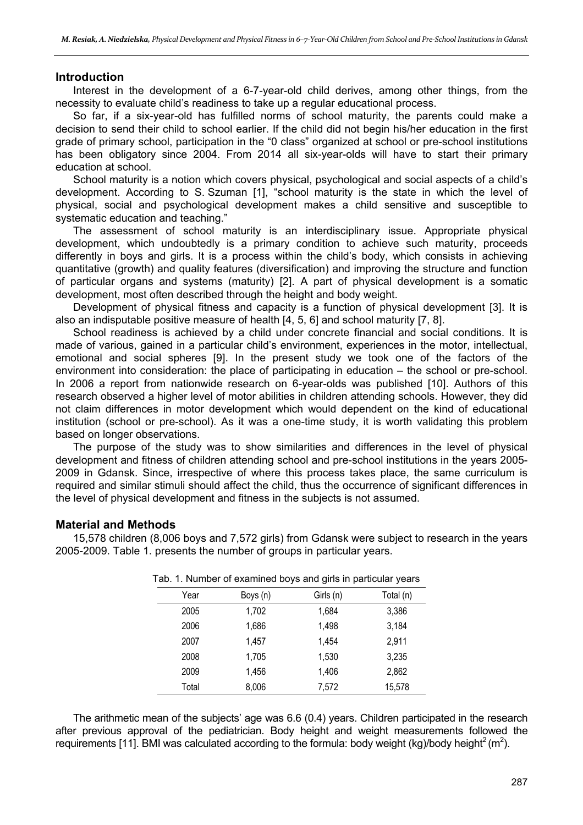#### **Introduction**

Interest in the development of a 6-7-year-old child derives, among other things, from the necessity to evaluate child's readiness to take up a regular educational process.

So far, if a six-year-old has fulfilled norms of school maturity, the parents could make a decision to send their child to school earlier. If the child did not begin his/her education in the first grade of primary school, participation in the "0 class" organized at school or pre-school institutions has been obligatory since 2004. From 2014 all six-year-olds will have to start their primary education at school.

School maturity is a notion which covers physical, psychological and social aspects of a child's development. According to S. Szuman [1], "school maturity is the state in which the level of physical, social and psychological development makes a child sensitive and susceptible to systematic education and teaching."

The assessment of school maturity is an interdisciplinary issue. Appropriate physical development, which undoubtedly is a primary condition to achieve such maturity, proceeds differently in boys and girls. It is a process within the child's body, which consists in achieving quantitative (growth) and quality features (diversification) and improving the structure and function of particular organs and systems (maturity) [2]. A part of physical development is a somatic development, most often described through the height and body weight.

Development of physical fitness and capacity is a function of physical development [3]. It is also an indisputable positive measure of health [4, 5, 6] and school maturity [7, 8].

School readiness is achieved by a child under concrete financial and social conditions. It is made of various, gained in a particular child's environment, experiences in the motor, intellectual, emotional and social spheres [9]. In the present study we took one of the factors of the environment into consideration: the place of participating in education – the school or pre-school. In 2006 a report from nationwide research on 6-year-olds was published [10]. Authors of this research observed a higher level of motor abilities in children attending schools. However, they did not claim differences in motor development which would dependent on the kind of educational institution (school or pre-school). As it was a one-time study, it is worth validating this problem based on longer observations.

The purpose of the study was to show similarities and differences in the level of physical development and fitness of children attending school and pre-school institutions in the years 2005- 2009 in Gdansk. Since, irrespective of where this process takes place, the same curriculum is required and similar stimuli should affect the child, thus the occurrence of significant differences in the level of physical development and fitness in the subjects is not assumed.

## **Material and Methods**

15,578 children (8,006 boys and 7,572 girls) from Gdansk were subject to research in the years 2005-2009. Table 1. presents the number of groups in particular years.

| Year  | Boys (n) | Girls (n) | Total (n) |
|-------|----------|-----------|-----------|
| 2005  | 1,702    | 1,684     | 3,386     |
| 2006  | 1,686    | 1,498     | 3,184     |
| 2007  | 1.457    | 1,454     | 2,911     |
| 2008  | 1,705    | 1,530     | 3,235     |
| 2009  | 1,456    | 1,406     | 2,862     |
| Total | 8,006    | 7,572     | 15,578    |

Tab. 1. Number of examined boys and girls in particular years

The arithmetic mean of the subjects' age was 6.6 (0.4) years. Children participated in the research after previous approval of the pediatrician. Body height and weight measurements followed the requirements [11]. BMI was calculated according to the formula: body weight (kg)/body height<sup>2</sup> (m<sup>2</sup>).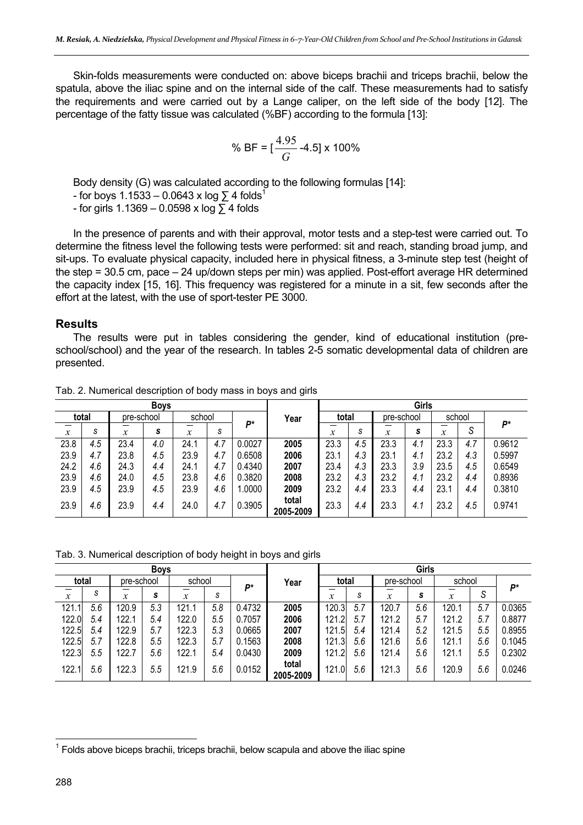Skin-folds measurements were conducted on: above biceps brachii and triceps brachii, below the spatula, above the iliac spine and on the internal side of the calf. These measurements had to satisfy the requirements and were carried out by a Lange caliper, on the left side of the body [12]. The percentage of the fatty tissue was calculated (%BF) according to the formula [13]:

% BF = 
$$
\left[\frac{4.95}{G} - 4.5\right] \times 100\%
$$

Body density (G) was calculated according to the following formulas [14]:

- for boys  $1.1533 - 0.0643 \times \log \sum 4$  folds<sup>1</sup>

- for girls 1.1369 – 0.0598 x log ∑ 4 folds

In the presence of parents and with their approval, motor tests and a step-test were carried out. To determine the fitness level the following tests were performed: sit and reach, standing broad jump, and sit-ups. To evaluate physical capacity, included here in physical fitness, a 3-minute step test (height of the step = 30.5 cm, pace – 24 up/down steps per min) was applied. Post-effort average HR determined the capacity index [15, 16]. This frequency was registered for a minute in a sit, few seconds after the effort at the latest, with the use of sport-tester PE 3000.

#### **Results**

The results were put in tables considering the gender, kind of educational institution (preschool/school) and the year of the research. In tables 2-5 somatic developmental data of children are presented.

|                  |     |            | <b>Boys</b> |                            |     |        |                    | Girls |     |                           |     |                  |        |        |  |
|------------------|-----|------------|-------------|----------------------------|-----|--------|--------------------|-------|-----|---------------------------|-----|------------------|--------|--------|--|
| total            |     | pre-school |             | school                     |     | Þ*     | Year               | total |     | pre-school                |     |                  | school |        |  |
| $\boldsymbol{x}$ | S   | v<br>л     | s           | $\boldsymbol{\mathcal{X}}$ | s   |        |                    | x     | s   | $\boldsymbol{\mathsf{x}}$ | s   | $\boldsymbol{x}$ | S      | Þ*     |  |
| 23.8             | 4.5 | 23.4       | 4.0         | 24.1                       | 4.7 | 0.0027 | 2005               | 23.3  | 4.5 | 23.3                      | 4.1 | 23.3             | 4.7    | 0.9612 |  |
| 23.9             | 4.7 | 23.8       | 4.5         | 23.9                       | 4.7 | 0.6508 | 2006               | 23.1  | 4.3 | 23.1                      | 4.1 | 23.2             | 4.3    | 0.5997 |  |
| 24.2             | 4.6 | 24.3       | 4.4         | 24.1                       | 4.7 | 0.4340 | 2007               | 23.4  | 4.3 | 23.3                      | 3.9 | 23.5             | 4.5    | 0.6549 |  |
| 23.9             | 4.6 | 24.0       | 4.5         | 23.8                       | 4.6 | 0.3820 | 2008               | 23.2  | 4.3 | 23.2                      | 4.1 | 23.2             | 4.4    | 0.8936 |  |
| 23.9             | 4.5 | 23.9       | 4.5         | 23.9                       | 4.6 | 1.0000 | 2009               | 23.2  | 4.4 | 23.3                      | 4.4 | 23.1             | 4.4    | 0.3810 |  |
| 23.9             | 4.6 | 23.9       | 4.4         | 24.0                       | 4.7 | 0.3905 | total<br>2005-2009 | 23.3  | 4.4 | 23.3                      | 4.1 | 23.2             | 4.5    | 0.9741 |  |

Tab. 2. Numerical description of body mass in boys and girls

Tab. 3. Numerical description of body height in boys and girls

|                  |     |                   | <b>Boys</b> |        |     |        |                    | Girls            |     |               |     |        |        |        |  |
|------------------|-----|-------------------|-------------|--------|-----|--------|--------------------|------------------|-----|---------------|-----|--------|--------|--------|--|
| total            |     | pre-school        |             | school |     | Þ*     | Year               | total            |     | pre-school    |     | school |        |        |  |
| $\boldsymbol{x}$ | S   | $\mathbf{v}$<br>л | s           | x      | S   |        |                    | $\boldsymbol{x}$ | S   | $\mathcal{X}$ | s   | x      | ົ<br>ت | Þ*     |  |
| 121.1            | 5.6 | 120.9             | 5.3         | 121.1  | 5.8 | 0.4732 | 2005               | 120.3            | 5.7 | 120.7         | 5.6 | 120.1  | 5.7    | 0.0365 |  |
| 122.0            | 5.4 | 122.1             | 5.4         | 122.0  | 5.5 | 0.7057 | 2006               | 121.2            | 5.7 | 121.2         | 5.7 | 121.2  | 5.7    | 0.8877 |  |
| 122.5            | 5.4 | 122.9             | 5.7         | 122.3  | 5.3 | 0.0665 | 2007               | 121.5            | 5.4 | 121.4         | 5.2 | 121.5  | 5.5    | 0.8955 |  |
| 122.5            | 5.7 | 122.8             | 5.5         | 122.3  | 5.7 | 0.1563 | 2008               | 121.3            | 5.6 | 121.6         | 5.6 | 121.1  | 5.6    | 0.1045 |  |
| 122.3            | 5.5 | 122.7             | 5.6         | 122.1  | 5.4 | 0.0430 | 2009               | 121.2            | 5.6 | 121.4         | 5.6 | 121.1  | 5.5    | 0.2302 |  |
| 122.1            | 5.6 | 122.3             | 5.5         | 121.9  | 5.6 | 0.0152 | total<br>2005-2009 | 121.0            | 5.6 | 121.3         | 5.6 | 120.9  | 5.6    | 0.0246 |  |

 $\overline{a}$ 

 $1$  Folds above biceps brachii, triceps brachii, below scapula and above the iliac spine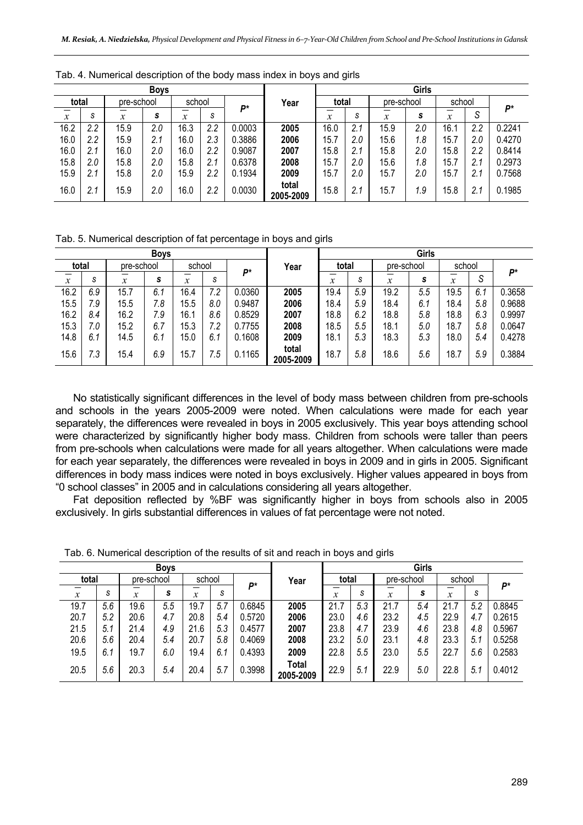|                  |     |                  | <b>Boys</b>                        |               |     |        |                    | Girls                     |     |                  |     |               |     |            |  |
|------------------|-----|------------------|------------------------------------|---------------|-----|--------|--------------------|---------------------------|-----|------------------|-----|---------------|-----|------------|--|
| total            |     |                  | school<br>pre-school<br><b>D</b> * |               |     |        | Year               | total                     |     | pre-school       |     | school        |     | <b>D</b> * |  |
| $\boldsymbol{x}$ | S   | $\boldsymbol{x}$ | s                                  | $\mathcal{X}$ | S   |        |                    | $\boldsymbol{\mathsf{x}}$ | S   | $\boldsymbol{x}$ | s   | $\mathcal{X}$ | S   |            |  |
| 16.2             | 2.2 | 15.9             | 2.0                                | 16.3          | 2.2 | 0.0003 | 2005               | 16.0                      | 2.1 | 15.9             | 2.0 | 16.           | 2.2 | 0.2241     |  |
| 16.0             | 2.2 | 15.9             | 2.1                                | 16.0          | 2.3 | 0.3886 | 2006               | 15.7                      | 2.0 | 15.6             | 1.8 | 15.7          | 2.0 | 0.4270     |  |
| 16.0             | 2.1 | 16.0             | 2.0                                | 16.0          | 2.2 | 0.9087 | 2007               | 15.8                      | 2.1 | 15.8             | 2.0 | 15.8          | 2.2 | 0.8414     |  |
| 15.8             | 2.0 | 15.8             | 2.0                                | 15.8          | 2.1 | 0.6378 | 2008               | 15.7                      | 2.0 | 15.6             | 1.8 | 15.7          | 2.1 | 0.2973     |  |
| 15.9             | 2.1 | 15.8             | 2.0                                | 15.9          | 2.2 | 0.1934 | 2009               | 15.7                      | 2.0 | 15.7             | 2.0 | 15.7          | 2.1 | 0.7568     |  |
| 16.0             | 2.1 | 15.9             | 2.0                                | 16.0          | 2.2 | 0.0030 | total<br>2005-2009 | 15.8                      | 2.1 | 15.7             | 1.9 | 15.8          | 2.1 | 0.1985     |  |

Tab. 4. Numerical description of the body mass index in boys and girls

Tab. 5. Numerical description of fat percentage in boys and girls

|                  |     |            |     |              |     |        | Girls              |                  |       |                  |            |                            |        |        |
|------------------|-----|------------|-----|--------------|-----|--------|--------------------|------------------|-------|------------------|------------|----------------------------|--------|--------|
| total            |     | pre-school |     | school<br>Þ* |     |        | Year               |                  | total |                  | pre-school |                            | school |        |
| $\boldsymbol{x}$ | S   | v<br>⋏     | s   | x            | S   |        |                    | $\boldsymbol{x}$ | S     | $\boldsymbol{x}$ | s          | $\boldsymbol{\mathcal{X}}$ | S      | P*     |
| 16.2             | 6.9 | 15.7       | 6.1 | 16.4         | 7.2 | 0.0360 | 2005               | 19.4             | 5.9   | 19.2             | 5.5        | 19.5                       | 6.1    | 0.3658 |
| 15.5             | 7.9 | 15.5       | 7.8 | 15.5         | 8.0 | 0.9487 | 2006               | 18.4             | 5.9   | 18.4             | 6.1        | 18.4                       | 5.8    | 0.9688 |
| 16.2             | 8.4 | 16.2       | 7.9 | 16.1         | 8.6 | 0.8529 | 2007               | 18.8             | 6.2   | 18.8             | 5.8        | 18.8                       | 6.3    | 0.9997 |
| 15.3             | 7.0 | 15.2       | 6.7 | 15.3         | 7.2 | 0.7755 | 2008               | 18.5             | 5.5   | 18.1             | 5.0        | 18.7                       | 5.8    | 0.0647 |
| 14.8             | 6.1 | 14.5       | 6.1 | 15.0         | 6.1 | 0.1608 | 2009               | 18.1             | 5.3   | 18.3             | 5.3        | 18.0                       | 5.4    | 0.4278 |
| 15.6             | 7.3 | 15.4       | 6.9 | 15.7         | 1.5 | 0.1165 | total<br>2005-2009 | 18.7             | 5.8   | 18.6             | 5.6        | 18.7                       | 5.9    | 0.3884 |

No statistically significant differences in the level of body mass between children from pre-schools and schools in the years 2005-2009 were noted. When calculations were made for each year separately, the differences were revealed in boys in 2005 exclusively. This year boys attending school were characterized by significantly higher body mass. Children from schools were taller than peers from pre-schools when calculations were made for all years altogether. When calculations were made for each year separately, the differences were revealed in boys in 2009 and in girls in 2005. Significant differences in body mass indices were noted in boys exclusively. Higher values appeared in boys from "0 school classes" in 2005 and in calculations considering all years altogether.

Fat deposition reflected by %BF was significantly higher in boys from schools also in 2005 exclusively. In girls substantial differences in values of fat percentage were not noted.

|                  |     |               | <b>Boys</b> |        |     |        |                    | Girls            |     |            |     |                  |     |        |  |
|------------------|-----|---------------|-------------|--------|-----|--------|--------------------|------------------|-----|------------|-----|------------------|-----|--------|--|
| total            |     | pre-school    |             | school |     | D*     | Year               | total            |     | pre-school |     | school           |     |        |  |
| $\boldsymbol{x}$ | S   | $\mathcal{X}$ | s           | x      | S   |        |                    | $\boldsymbol{x}$ | S   | x          | S   | $\boldsymbol{x}$ | S   | P*     |  |
| 19.7             | 5.6 | 19.6          | 5.5         | 19.7   | 5.7 | 0.6845 | 2005               | 21.7             | 5.3 | 21.7       | 5.4 | 21.7             | 5.2 | 0.8845 |  |
| 20.7             | 5.2 | 20.6          | 4.7         | 20.8   | 5.4 | 0.5720 | 2006               | 23.0             | 4.6 | 23.2       | 4.5 | 22.9             | 4.7 | 0.2615 |  |
| 21.5             | 5.1 | 21.4          | 4.9         | 21.6   | 5.3 | 0.4577 | 2007               | 23.8             | 4.7 | 23.9       | 4.6 | 23.8             | 4.8 | 0.5967 |  |
| 20.6             | 5.6 | 20.4          | 5.4         | 20.7   | 5.8 | 0.4069 | 2008               | 23.2             | 5.0 | 23.1       | 4.8 | 23.3             | 5.1 | 0.5258 |  |
| 19.5             | 6.1 | 19.7          | 6.0         | 19.4   | 6.1 | 0.4393 | 2009               | 22.8             | 5.5 | 23.0       | 5.5 | 22.7             | 5.6 | 0.2583 |  |
| 20.5             | 5.6 | 20.3          | 5.4         | 20.4   | 5.7 | 0.3998 | Total<br>2005-2009 | 22.9             | 5.1 | 22.9       | 5.0 | 22.8             | 5.1 | 0.4012 |  |

Tab. 6. Numerical description of the results of sit and reach in boys and girls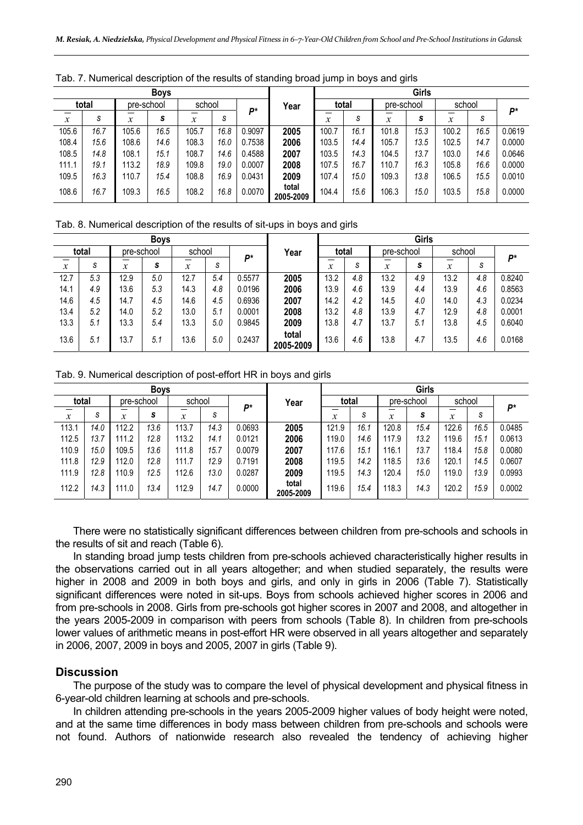|                  | <b>Boys</b> |                            |            |        |      |        |                    | Girls |      |                  |      |        |      |        |  |
|------------------|-------------|----------------------------|------------|--------|------|--------|--------------------|-------|------|------------------|------|--------|------|--------|--|
|                  | total       |                            | pre-school | school |      | D*     | Year               | total |      | pre-school       |      | school |      | Þ*     |  |
| $\boldsymbol{x}$ | S           | $\boldsymbol{\mathcal{X}}$ | s          | v<br>л | S    |        |                    | x     | S    | $\boldsymbol{x}$ | s    | x      | S    |        |  |
| 105.6            | 16.7        | 105.6                      | 16.5       | 105.7  | 16.8 | 0.9097 | 2005               | 100.7 | 16.1 | 101.8            | 15.3 | 100.2  | 16.5 | 0.0619 |  |
| 108.4            | 15.6        | 108.6                      | 14.6       | 108.3  | 16.0 | 0.7538 | 2006               | 103.5 | 14.4 | 105.7            | 13.5 | 102.5  | 14.7 | 0.0000 |  |
| 108.5            | 14.8        | 108.1                      | 15.1       | 108.7  | 14.6 | 0.4588 | 2007               | 103.5 | 14.3 | 104.5            | 13.7 | 103.0  | 14.6 | 0.0646 |  |
| 111.1            | 19.1        | 113.2                      | 18.9       | 109.8  | 19.0 | 0.0007 | 2008               | 107.5 | 16.7 | 110.7            | 16.3 | 105.8  | 16.6 | 0.0000 |  |
| 109.5            | 16.3        | 110.7                      | 15.4       | 108.8  | 16.9 | 0.0431 | 2009               | 107.4 | 15.0 | 109.3            | 13.8 | 106.5  | 15.5 | 0.0010 |  |
| 108.6            | 16.7        | 109.3                      | 16.5       | 108.2  | 16.8 | 0.0070 | total<br>2005-2009 | 104.4 | 15.6 | 106.3            | 15.0 | 103.5  | 15.8 | 0.0000 |  |

Tab. 7. Numerical description of the results of standing broad jump in boys and girls

Tab. 8. Numerical description of the results of sit-ups in boys and girls

|                  |       |        | <b>Boys</b> |        |     |        |                    | Girls  |     |                  |     |                            |     |        |  |
|------------------|-------|--------|-------------|--------|-----|--------|--------------------|--------|-----|------------------|-----|----------------------------|-----|--------|--|
|                  | total |        | pre-school  | school |     | Þ*     | Year               | total  |     | pre-school       |     | school                     |     | Þ*     |  |
| $\boldsymbol{x}$ | S     | v<br>л | s           | x      | S   |        |                    | v<br>л | S   | $\boldsymbol{x}$ | s   | $\boldsymbol{\mathcal{X}}$ | S   |        |  |
| 12.7             | 5.3   | 12.9   | 5.0         | 12.7   | 5.4 | 0.5577 | 2005               | 13.2   | 4.8 | 13.2             | 4.9 | 13.2                       | 4.8 | 0.8240 |  |
| 14.1             | 4.9   | 13.6   | 5.3         | 14.3   | 4.8 | 0.0196 | 2006               | 13.9   | 4.6 | 13.9             | 4.4 | 13.9                       | 4.6 | 0.8563 |  |
| 14.6             | 4.5   | 14.7   | 4.5         | 14.6   | 4.5 | 0.6936 | 2007               | 14.2   | 4.2 | 14.5             | 4.0 | 14.0                       | 4.3 | 0.0234 |  |
| 13.4             | 5.2   | 14.0   | 5.2         | 13.0   | 5.1 | 0.0001 | 2008               | 13.2   | 4.8 | 13.9             | 4.7 | 12.9                       | 4.8 | 0.0001 |  |
| 13.3             | 5.1   | 13.3   | 5.4         | 13.3   | 5.0 | 0.9845 | 2009               | 13.8   | 4.7 | 13.7             | 5.1 | 13.8                       | 4.5 | 0.6040 |  |
| 13.6             | 5.1   | 13.7   | 5.1         | 13.6   | 5.0 | 0.2437 | total<br>2005-2009 | 13.6   | 4.6 | 13.8             | 4.7 | 13.5                       | 4.6 | 0.0168 |  |

Tab. 9. Numerical description of post-effort HR in boys and girls

|                            |      |             | <b>Boys</b> |                       |      |        |                    | Girls |      |             |            |                       |      |        |  |
|----------------------------|------|-------------|-------------|-----------------------|------|--------|--------------------|-------|------|-------------|------------|-----------------------|------|--------|--|
| total                      |      |             | pre-school  | school<br>Þ*          |      |        | Year               | total |      |             | pre-school | school                |      | Þ*     |  |
| $\boldsymbol{\mathcal{X}}$ | S    | —<br>v<br>~ | S           | —<br>$\boldsymbol{x}$ | S    |        |                    | x     | S    | —<br>v<br>~ | s          | –<br>$\boldsymbol{x}$ | S    |        |  |
| 113.1                      | 14.0 | 112.2       | 13.6        | 13.7                  | 14.3 | 0.0693 | 2005               | 121.9 | 16.1 | 120.8       | 15.4       | 122.6                 | 16.5 | 0.0485 |  |
| 112.5                      | 13.7 | 111.2       | 12.8        | 113.2                 | 14.1 | 0.0121 | 2006               | 119.0 | 14.6 | 17.9        | 13.2       | 119.6                 | 15.1 | 0.0613 |  |
| 110.9                      | 15.0 | 109.5       | 13.6        | 111.8                 | 15.7 | 0.0079 | 2007               | 117.6 | 15.1 | 16.1        | 13.7       | 118.4                 | 15.8 | 0.0080 |  |
| 111.8                      | 12.9 | 112.0       | 12.8        | 11.7                  | 12.9 | 0.7191 | 2008               | 119.5 | 14.2 | 18.5        | 13.6       | 120. <sup>.</sup>     | 14.5 | 0.0607 |  |
| 111.9                      | 12.8 | 110.9       | 12.5        | 112.6                 | 13.0 | 0.0287 | 2009               | 119.5 | 14.3 | 120.4       | 15.0       | 119.0                 | 13.9 | 0.0993 |  |
| 112.2                      | 14.3 | 111.0       | 13.4        | 112.9                 | 14.7 | 0.0000 | total<br>2005-2009 | 119.6 | 15.4 | 18.3        | 14.3       | 120.2                 | 15.9 | 0.0002 |  |

There were no statistically significant differences between children from pre-schools and schools in the results of sit and reach (Table 6).

In standing broad jump tests children from pre-schools achieved characteristically higher results in the observations carried out in all years altogether; and when studied separately, the results were higher in 2008 and 2009 in both boys and girls, and only in girls in 2006 (Table 7). Statistically significant differences were noted in sit-ups. Boys from schools achieved higher scores in 2006 and from pre-schools in 2008. Girls from pre-schools got higher scores in 2007 and 2008, and altogether in the years 2005-2009 in comparison with peers from schools (Table 8). In children from pre-schools lower values of arithmetic means in post-effort HR were observed in all years altogether and separately in 2006, 2007, 2009 in boys and 2005, 2007 in girls (Table 9).

## **Discussion**

The purpose of the study was to compare the level of physical development and physical fitness in 6-year-old children learning at schools and pre-schools.

In children attending pre-schools in the years 2005-2009 higher values of body height were noted, and at the same time differences in body mass between children from pre-schools and schools were not found. Authors of nationwide research also revealed the tendency of achieving higher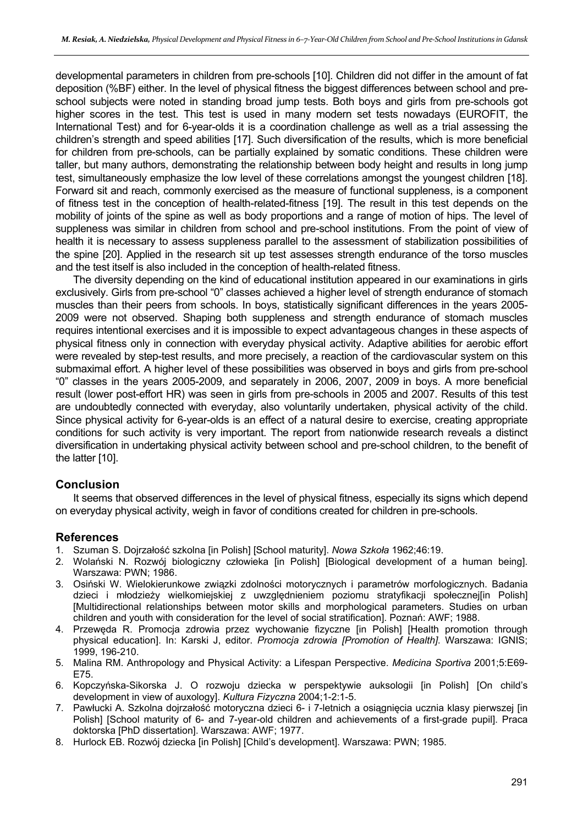developmental parameters in children from pre-schools [10]. Children did not differ in the amount of fat deposition (%BF) either. In the level of physical fitness the biggest differences between school and preschool subjects were noted in standing broad jump tests. Both boys and girls from pre-schools got higher scores in the test. This test is used in many modern set tests nowadays (EUROFIT, the International Test) and for 6-year-olds it is a coordination challenge as well as a trial assessing the children's strength and speed abilities [17]. Such diversification of the results, which is more beneficial for children from pre-schools, can be partially explained by somatic conditions. These children were taller, but many authors, demonstrating the relationship between body height and results in long jump test, simultaneously emphasize the low level of these correlations amongst the youngest children [18]. Forward sit and reach, commonly exercised as the measure of functional suppleness, is a component of fitness test in the conception of health-related-fitness [19]. The result in this test depends on the mobility of joints of the spine as well as body proportions and a range of motion of hips. The level of suppleness was similar in children from school and pre-school institutions. From the point of view of health it is necessary to assess suppleness parallel to the assessment of stabilization possibilities of the spine [20]. Applied in the research sit up test assesses strength endurance of the torso muscles and the test itself is also included in the conception of health-related fitness.

The diversity depending on the kind of educational institution appeared in our examinations in girls exclusively. Girls from pre-school "0" classes achieved a higher level of strength endurance of stomach muscles than their peers from schools. In boys, statistically significant differences in the years 2005- 2009 were not observed. Shaping both suppleness and strength endurance of stomach muscles requires intentional exercises and it is impossible to expect advantageous changes in these aspects of physical fitness only in connection with everyday physical activity. Adaptive abilities for aerobic effort were revealed by step-test results, and more precisely, a reaction of the cardiovascular system on this submaximal effort. A higher level of these possibilities was observed in boys and girls from pre-school "0" classes in the years 2005-2009, and separately in 2006, 2007, 2009 in boys. A more beneficial result (lower post-effort HR) was seen in girls from pre-schools in 2005 and 2007. Results of this test are undoubtedly connected with everyday, also voluntarily undertaken, physical activity of the child. Since physical activity for 6-year-olds is an effect of a natural desire to exercise, creating appropriate conditions for such activity is very important. The report from nationwide research reveals a distinct diversification in undertaking physical activity between school and pre-school children, to the benefit of the latter [10].

## **Conclusion**

It seems that observed differences in the level of physical fitness, especially its signs which depend on everyday physical activity, weigh in favor of conditions created for children in pre-schools.

## **References**

- 1. Szuman S. Dojrzałość szkolna [in Polish] [School maturity]. *Nowa Szkoła* 1962;46:19.
- 2. Wolański N. Rozwój biologiczny człowieka [in Polish] [Biological development of a human being]. Warszawa: PWN; 1986.
- 3. Osiński W. Wielokierunkowe związki zdolności motorycznych i parametrów morfologicznych. Badania dzieci i młodzieży wielkomiejskiej z uwzględnieniem poziomu stratyfikacji społecznej[in Polish] [Multidirectional relationships between motor skills and morphological parameters. Studies on urban children and youth with consideration for the level of social stratification]. Poznań: AWF; 1988.
- 4. Przewęda R. Promocja zdrowia przez wychowanie fizyczne [in Polish] [Health promotion through physical education]. In: Karski J, editor. *Promocja zdrowia [Promotion of Health]*. Warszawa: IGNIS; 1999, 196-210.
- 5. Malina RM. Anthropology and Physical Activity: a Lifespan Perspective. *Medicina Sportiva* 2001;5:E69- E75.
- 6. Kopczyńska-Sikorska J. O rozwoju dziecka w perspektywie auksologii [in Polish] [On child's development in view of auxology]. *Kultura Fizyczna* 2004;1-2:1-5.
- 7. Pawłucki A. Szkolna dojrzałość motoryczna dzieci 6- i 7-letnich a osiągnięcia ucznia klasy pierwszej [in Polish] [School maturity of 6- and 7-year-old children and achievements of a first-grade pupil]. Praca doktorska [PhD dissertation]. Warszawa: AWF; 1977.
- 8. Hurlock EB. Rozwój dziecka [in Polish] [Child's development]. Warszawa: PWN; 1985.